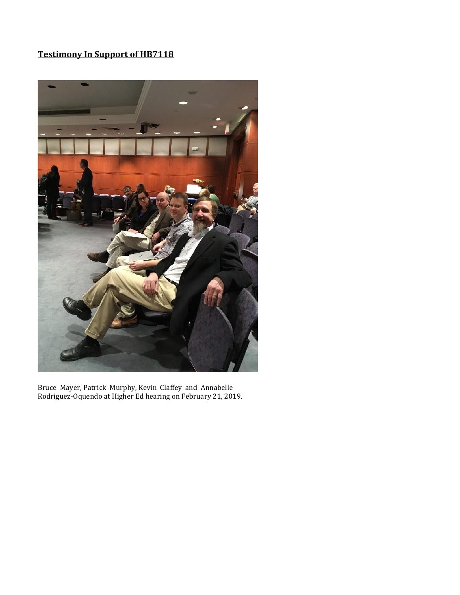

Bruce Mayer, Patrick Murphy, Kevin Claffey and Annabelle Rodriguez-Oquendo at Higher Ed hearing on February 21, 2019.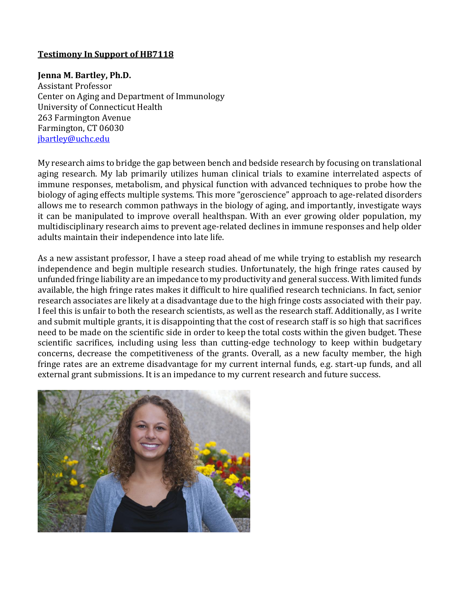#### **Jenna M. Bartley, Ph.D.**

Assistant Professor Center on Aging and Department of Immunology University of Connecticut Health 263 Farmington Avenue Farmington, CT 06030 [jbartley@uchc.edu](mailto:jbartley@uchc.edu)

My research aims to bridge the gap between bench and bedside research by focusing on translational aging research. My lab primarily utilizes human clinical trials to examine interrelated aspects of immune responses, metabolism, and physical function with advanced techniques to probe how the biology of aging effects multiple systems. This more "geroscience" approach to age-related disorders allows me to research common pathways in the biology of aging, and importantly, investigate ways it can be manipulated to improve overall healthspan. With an ever growing older population, my multidisciplinary research aims to prevent age-related declines in immune responses and help older adults maintain their independence into late life.

As a new assistant professor, I have a steep road ahead of me while trying to establish my research independence and begin multiple research studies. Unfortunately, the high fringe rates caused by unfunded fringe liability are an impedance to my productivity and general success. With limited funds available, the high fringe rates makes it difficult to hire qualified research technicians. In fact, senior research associates are likely at a disadvantage due to the high fringe costs associated with their pay. I feel this is unfair to both the research scientists, as well as the research staff. Additionally, as I write and submit multiple grants, it is disappointing that the cost of research staff is so high that sacrifices need to be made on the scientific side in order to keep the total costs within the given budget. These scientific sacrifices, including using less than cutting-edge technology to keep within budgetary concerns, decrease the competitiveness of the grants. Overall, as a new faculty member, the high fringe rates are an extreme disadvantage for my current internal funds, e.g. start-up funds, and all external grant submissions. It is an impedance to my current research and future success.

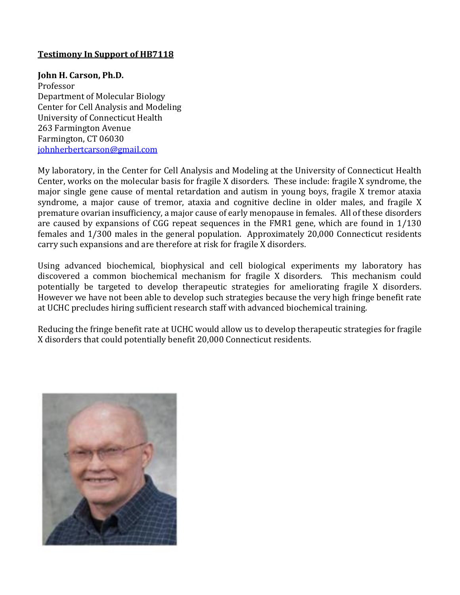#### **John H. Carson, Ph.D.**

Professor Department of Molecular Biology Center for Cell Analysis and Modeling University of Connecticut Health 263 Farmington Avenue Farmington, CT 06030 [johnherbertcarson@gmail.com](mailto:johnherbertcarson@gmail.com)

My laboratory, in the Center for Cell Analysis and Modeling at the University of Connecticut Health Center, works on the molecular basis for fragile X disorders. These include: fragile X syndrome, the major single gene cause of mental retardation and autism in young boys, fragile X tremor ataxia syndrome, a major cause of tremor, ataxia and cognitive decline in older males, and fragile X premature ovarian insufficiency, a major cause of early menopause in females. All of these disorders are caused by expansions of CGG repeat sequences in the FMR1 gene, which are found in 1/130 females and 1/300 males in the general population. Approximately 20,000 Connecticut residents carry such expansions and are therefore at risk for fragile X disorders.

Using advanced biochemical, biophysical and cell biological experiments my laboratory has discovered a common biochemical mechanism for fragile X disorders. This mechanism could potentially be targeted to develop therapeutic strategies for ameliorating fragile X disorders. However we have not been able to develop such strategies because the very high fringe benefit rate at UCHC precludes hiring sufficient research staff with advanced biochemical training.

Reducing the fringe benefit rate at UCHC would allow us to develop therapeutic strategies for fragile X disorders that could potentially benefit 20,000 Connecticut residents.

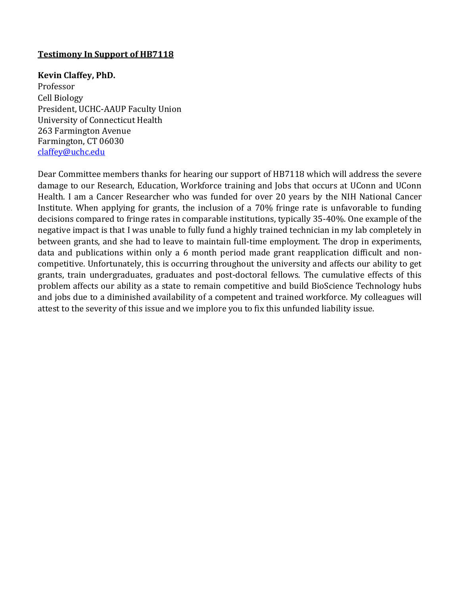#### **Kevin Claffey, PhD.**

Professor Cell Biology President, UCHC-AAUP Faculty Union University of Connecticut Health 263 Farmington Avenue Farmington, CT 06030 [claffey@uchc.edu](mailto:claffey@uchc.edu)

Dear Committee members thanks for hearing our support of HB7118 which will address the severe damage to our Research, Education, Workforce training and Jobs that occurs at UConn and UConn Health. I am a Cancer Researcher who was funded for over 20 years by the NIH National Cancer Institute. When applying for grants, the inclusion of a 70% fringe rate is unfavorable to funding decisions compared to fringe rates in comparable institutions, typically 35-40%. One example of the negative impact is that I was unable to fully fund a highly trained technician in my lab completely in between grants, and she had to leave to maintain full-time employment. The drop in experiments, data and publications within only a 6 month period made grant reapplication difficult and noncompetitive. Unfortunately, this is occurring throughout the university and affects our ability to get grants, train undergraduates, graduates and post-doctoral fellows. The cumulative effects of this problem affects our ability as a state to remain competitive and build BioScience Technology hubs and jobs due to a diminished availability of a competent and trained workforce. My colleagues will attest to the severity of this issue and we implore you to fix this unfunded liability issue.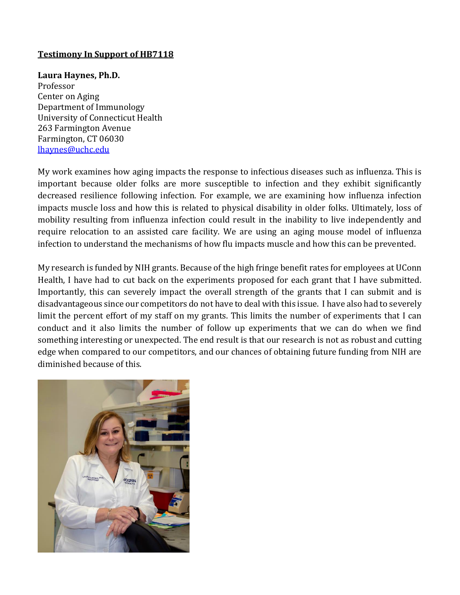**Laura Haynes, Ph.D.** Professor Center on Aging Department of Immunology University of Connecticut Health 263 Farmington Avenue Farmington, CT 06030 [lhaynes@uchc.edu](mailto:lhaynes@uchc.edu)

My work examines how aging impacts the response to infectious diseases such as influenza. This is important because older folks are more susceptible to infection and they exhibit significantly decreased resilience following infection. For example, we are examining how influenza infection impacts muscle loss and how this is related to physical disability in older folks. Ultimately, loss of mobility resulting from influenza infection could result in the inability to live independently and require relocation to an assisted care facility. We are using an aging mouse model of influenza infection to understand the mechanisms of how flu impacts muscle and how this can be prevented.

My research is funded by NIH grants. Because of the high fringe benefit rates for employees at UConn Health, I have had to cut back on the experiments proposed for each grant that I have submitted. Importantly, this can severely impact the overall strength of the grants that I can submit and is disadvantageous since our competitors do not have to deal with this issue. I have also had to severely limit the percent effort of my staff on my grants. This limits the number of experiments that I can conduct and it also limits the number of follow up experiments that we can do when we find something interesting or unexpected. The end result is that our research is not as robust and cutting edge when compared to our competitors, and our chances of obtaining future funding from NIH are diminished because of this.

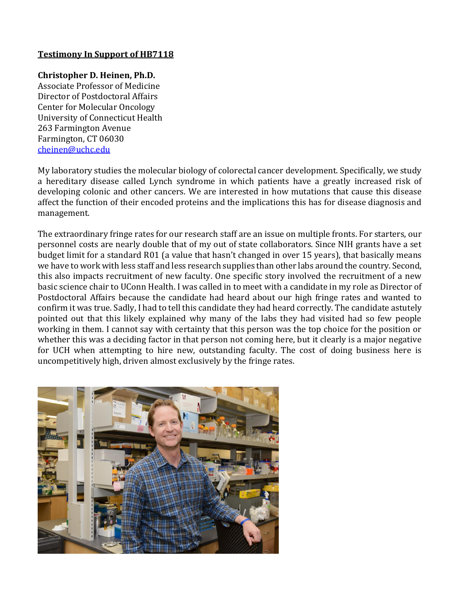# **Christopher D. Heinen, Ph.D.**

Associate Professor of Medicine Director of Postdoctoral Affairs Center for Molecular Oncology University of Connecticut Health 263 Farmington Avenue Farmington, CT 06030 [cheinen@uchc.edu](mailto:cheinen@uchc.edu)

My laboratory studies the molecular biology of colorectal cancer development. Specifically, we study a hereditary disease called Lynch syndrome in which patients have a greatly increased risk of developing colonic and other cancers. We are interested in how mutations that cause this disease affect the function of their encoded proteins and the implications this has for disease diagnosis and management.

The extraordinary fringe rates for our research staff are an issue on multiple fronts. For starters, our personnel costs are nearly double that of my out of state collaborators. Since NIH grants have a set budget limit for a standard R01 (a value that hasn't changed in over 15 years), that basically means we have to work with less staff and less research supplies than other labs around the country. Second, this also impacts recruitment of new faculty. One specific story involved the recruitment of a new basic science chair to UConn Health. I was called in to meet with a candidate in my role as Director of Postdoctoral Affairs because the candidate had heard about our high fringe rates and wanted to confirm it was true. Sadly, I had to tell this candidate they had heard correctly. The candidate astutely pointed out that this likely explained why many of the labs they had visited had so few people working in them. I cannot say with certainty that this person was the top choice for the position or whether this was a deciding factor in that person not coming here, but it clearly is a major negative for UCH when attempting to hire new, outstanding faculty. The cost of doing business here is uncompetitively high, driven almost exclusively by the fringe rates.

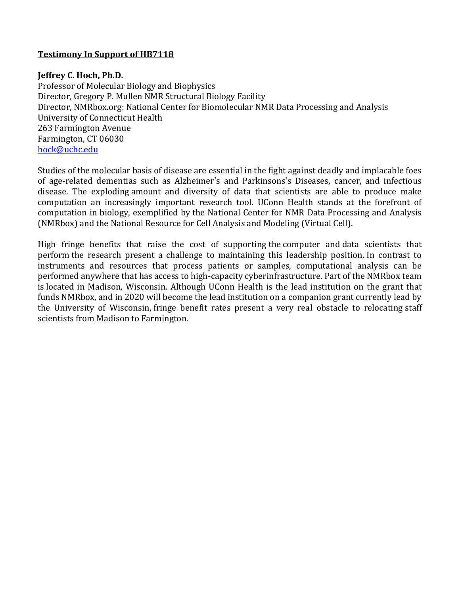## **Jeffrey C. Hoch, Ph.D.**

Professor of Molecular Biology and Biophysics Director, Gregory P. Mullen NMR Structural Biology Facility Director, NMRbox.org: National Center for Biomolecular NMR Data Processing and Analysis University of Connecticut Health 263 Farmington Avenue Farmington, CT 06030 [hock@uchc.edu](mailto:hock@uchc.edu)

Studies of the molecular basis of disease are essential in the fight against deadly and implacable foes of age-related dementias such as Alzheimer's and Parkinsons's Diseases, cancer, and infectious disease. The exploding amount and diversity of data that scientists are able to produce make computation an increasingly important research tool. UConn Health stands at the forefront of computation in biology, exemplified by the National Center for NMR Data Processing and Analysis (NMRbox) and the National Resource for Cell Analysis and Modeling (Virtual Cell).

High fringe benefits that raise the cost of supporting the computer and data scientists that perform the research present a challenge to maintaining this leadership position. In contrast to instruments and resources that process patients or samples, computational analysis can be performed anywhere that has access to high-capacity cyberinfrastructure. Part of the NMRbox team is located in Madison, Wisconsin. Although UConn Health is the lead institution on the grant that funds NMRbox, and in 2020 will become the lead institution on a companion grant currently lead by the University of Wisconsin, fringe benefit rates present a very real obstacle to relocating staff scientists from Madison to Farmington.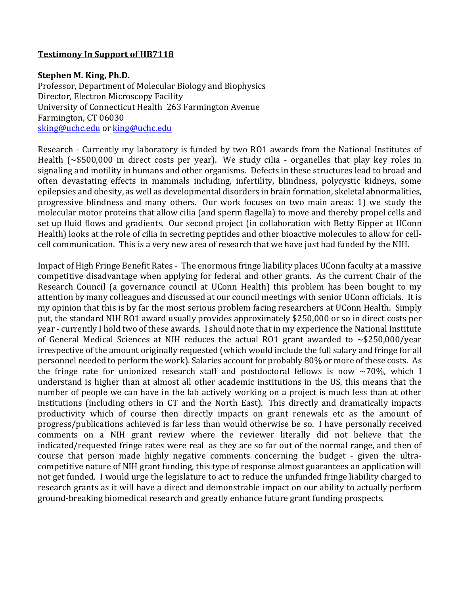#### **Stephen M. King, Ph.D.**

Professor, Department of Molecular Biology and Biophysics Director, Electron Microscopy Facility University of Connecticut Health 263 Farmington Avenue Farmington, CT 06030 [sking@uchc.edu](mailto:sking@uchc.edu) or [king@uchc.edu](mailto:king@uchc.edu)

Research - Currently my laboratory is funded by two RO1 awards from the National Institutes of Health (~\$500,000 in direct costs per year). We study cilia - organelles that play key roles in signaling and motility in humans and other organisms. Defects in these structures lead to broad and often devastating effects in mammals including, infertility, blindness, polycystic kidneys, some epilepsies and obesity, as well as developmental disorders in brain formation, skeletal abnormalities, progressive blindness and many others. Our work focuses on two main areas: 1) we study the molecular motor proteins that allow cilia (and sperm flagella) to move and thereby propel cells and set up fluid flows and gradients. Our second project (in collaboration with Betty Eipper at UConn Health) looks at the role of cilia in secreting peptides and other bioactive molecules to allow for cellcell communication. This is a very new area of research that we have just had funded by the NIH.

Impact of High Fringe Benefit Rates - The enormous fringe liability places UConn faculty at a massive competitive disadvantage when applying for federal and other grants. As the current Chair of the Research Council (a governance council at UConn Health) this problem has been bought to my attention by many colleagues and discussed at our council meetings with senior UConn officials. It is my opinion that this is by far the most serious problem facing researchers at UConn Health. Simply put, the standard NIH RO1 award usually provides approximately \$250,000 or so in direct costs per year - currently I hold two of these awards. I should note that in my experience the National Institute of General Medical Sciences at NIH reduces the actual RO1 grant awarded to  $\sim$ \$250,000/year irrespective of the amount originally requested (which would include the full salary and fringe for all personnel needed to perform the work). Salaries account for probably 80% or more of these costs. As the fringe rate for unionized research staff and postdoctoral fellows is now  $\sim$ 70%, which I understand is higher than at almost all other academic institutions in the US, this means that the number of people we can have in the lab actively working on a project is much less than at other institutions (including others in CT and the North East). This directly and dramatically impacts productivity which of course then directly impacts on grant renewals etc as the amount of progress/publications achieved is far less than would otherwise be so. I have personally received comments on a NIH grant review where the reviewer literally did not believe that the indicated/requested fringe rates were real as they are so far out of the normal range, and then of course that person made highly negative comments concerning the budget - given the ultracompetitive nature of NIH grant funding, this type of response almost guarantees an application will not get funded. I would urge the legislature to act to reduce the unfunded fringe liability charged to research grants as it will have a direct and demonstrable impact on our ability to actually perform ground-breaking biomedical research and greatly enhance future grant funding prospects.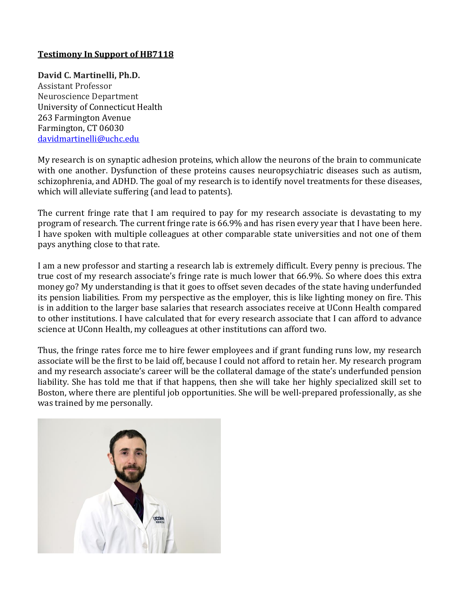**David C. Martinelli, Ph.D.**

Assistant Professor Neuroscience Department University of Connecticut Health 263 Farmington Avenue Farmington, CT 06030 [davidmartinelli@uchc.edu](mailto:davidmartinelli@uchc.edu)

My research is on synaptic adhesion proteins, which allow the neurons of the brain to communicate with one another. Dysfunction of these proteins causes neuropsychiatric diseases such as autism, schizophrenia, and ADHD. The goal of my research is to identify novel treatments for these diseases, which will alleviate suffering (and lead to patents).

The current fringe rate that I am required to pay for my research associate is devastating to my program of research. The current fringe rate is 66.9% and has risen every year that I have been here. I have spoken with multiple colleagues at other comparable state universities and not one of them pays anything close to that rate.

I am a new professor and starting a research lab is extremely difficult. Every penny is precious. The true cost of my research associate's fringe rate is much lower that 66.9%. So where does this extra money go? My understanding is that it goes to offset seven decades of the state having underfunded its pension liabilities. From my perspective as the employer, this is like lighting money on fire. This is in addition to the larger base salaries that research associates receive at UConn Health compared to other institutions. I have calculated that for every research associate that I can afford to advance science at UConn Health, my colleagues at other institutions can afford two.

Thus, the fringe rates force me to hire fewer employees and if grant funding runs low, my research associate will be the first to be laid off, because I could not afford to retain her. My research program and my research associate's career will be the collateral damage of the state's underfunded pension liability. She has told me that if that happens, then she will take her highly specialized skill set to Boston, where there are plentiful job opportunities. She will be well-prepared professionally, as she was trained by me personally.

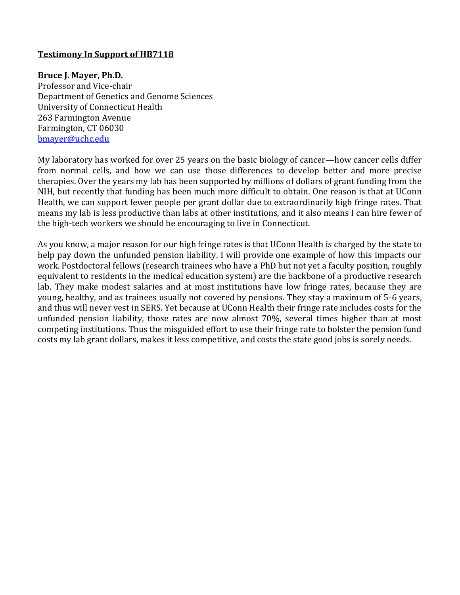#### **Bruce J. Mayer, Ph.D.**

Professor and Vice-chair Department of Genetics and Genome Sciences University of Connecticut Health 263 Farmington Avenue Farmington, CT 06030 [bmayer@uchc.edu](mailto:bmayer@uchc.edu)

My laboratory has worked for over 25 years on the basic biology of cancer—how cancer cells differ from normal cells, and how we can use those differences to develop better and more precise therapies. Over the years my lab has been supported by millions of dollars of grant funding from the NIH, but recently that funding has been much more difficult to obtain. One reason is that at UConn Health, we can support fewer people per grant dollar due to extraordinarily high fringe rates. That means my lab is less productive than labs at other institutions, and it also means I can hire fewer of the high-tech workers we should be encouraging to live in Connecticut.

As you know, a major reason for our high fringe rates is that UConn Health is charged by the state to help pay down the unfunded pension liability. I will provide one example of how this impacts our work. Postdoctoral fellows (research trainees who have a PhD but not yet a faculty position, roughly equivalent to residents in the medical education system) are the backbone of a productive research lab. They make modest salaries and at most institutions have low fringe rates, because they are young, healthy, and as trainees usually not covered by pensions. They stay a maximum of 5-6 years, and thus will never vest in SERS. Yet because at UConn Health their fringe rate includes costs for the unfunded pension liability, those rates are now almost 70%, several times higher than at most competing institutions. Thus the misguided effort to use their fringe rate to bolster the pension fund costs my lab grant dollars, makes it less competitive, and costs the state good jobs is sorely needs.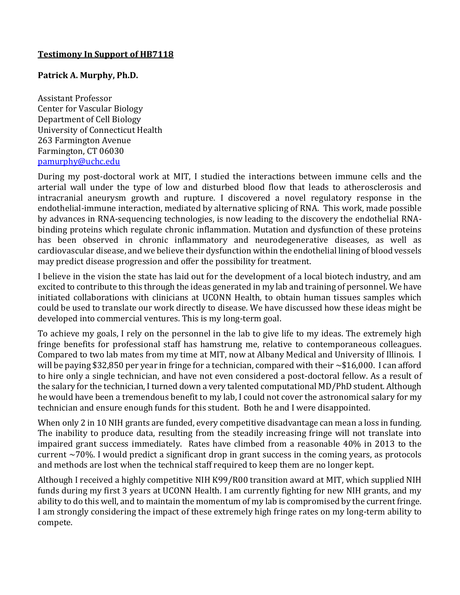#### **Patrick A. Murphy, Ph.D.**

Assistant Professor Center for Vascular Biology Department of Cell Biology University of Connecticut Health 263 Farmington Avenue Farmington, CT 06030 [pamurphy@uchc.edu](mailto:pamurphy@uchc.edu)

During my post-doctoral work at MIT, I studied the interactions between immune cells and the arterial wall under the type of low and disturbed blood flow that leads to atherosclerosis and intracranial aneurysm growth and rupture. I discovered a novel regulatory response in the endothelial-immune interaction, mediated by alternative splicing of RNA. This work, made possible by advances in RNA-sequencing technologies, is now leading to the discovery the endothelial RNAbinding proteins which regulate chronic inflammation. Mutation and dysfunction of these proteins has been observed in chronic inflammatory and neurodegenerative diseases, as well as cardiovascular disease, and we believe their dysfunction within the endothelial lining of blood vessels may predict disease progression and offer the possibility for treatment.

I believe in the vision the state has laid out for the development of a local biotech industry, and am excited to contribute to this through the ideas generated in my lab and training of personnel. We have initiated collaborations with clinicians at UCONN Health, to obtain human tissues samples which could be used to translate our work directly to disease. We have discussed how these ideas might be developed into commercial ventures. This is my long-term goal.

To achieve my goals, I rely on the personnel in the lab to give life to my ideas. The extremely high fringe benefits for professional staff has hamstrung me, relative to contemporaneous colleagues. Compared to two lab mates from my time at MIT, now at Albany Medical and University of Illinois. I will be paying \$32,850 per year in fringe for a technician, compared with their ~\$16,000. I can afford to hire only a single technician, and have not even considered a post-doctoral fellow. As a result of the salary for the technician, I turned down a very talented computational MD/PhD student. Although he would have been a tremendous benefit to my lab, I could not cover the astronomical salary for my technician and ensure enough funds for this student. Both he and I were disappointed.

When only 2 in 10 NIH grants are funded, every competitive disadvantage can mean a loss in funding. The inability to produce data, resulting from the steadily increasing fringe will not translate into impaired grant success immediately. Rates have climbed from a reasonable 40% in 2013 to the current ~70%. I would predict a significant drop in grant success in the coming years, as protocols and methods are lost when the technical staff required to keep them are no longer kept.

Although I received a highly competitive NIH K99/R00 transition award at MIT, which supplied NIH funds during my first 3 years at UCONN Health. I am currently fighting for new NIH grants, and my ability to do this well, and to maintain the momentum of my lab is compromised by the current fringe. I am strongly considering the impact of these extremely high fringe rates on my long-term ability to compete.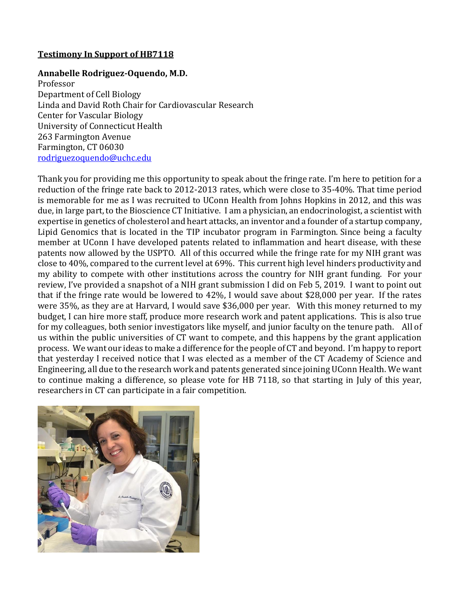#### **Annabelle Rodriguez-Oquendo, M.D.**

Professor Department of Cell Biology Linda and David Roth Chair for Cardiovascular Research Center for Vascular Biology University of Connecticut Health 263 Farmington Avenue Farmington, CT 06030 [rodriguezoquendo@uchc.edu](mailto:rodriguezoquendo@uchc.edu)

Thank you for providing me this opportunity to speak about the fringe rate. I'm here to petition for a reduction of the fringe rate back to 2012-2013 rates, which were close to 35-40%. That time period is memorable for me as I was recruited to UConn Health from Johns Hopkins in 2012, and this was due, in large part, to the Bioscience CT Initiative. I am a physician, an endocrinologist, a scientist with expertise in genetics of cholesterol and heart attacks, an inventor and a founder of a startup company, Lipid Genomics that is located in the TIP incubator program in Farmington. Since being a faculty member at UConn I have developed patents related to inflammation and heart disease, with these patents now allowed by the USPTO. All of this occurred while the fringe rate for my NIH grant was close to 40%, compared to the current level at 69%. This current high level hinders productivity and my ability to compete with other institutions across the country for NIH grant funding. For your review, I've provided a snapshot of a NIH grant submission I did on Feb 5, 2019. I want to point out that if the fringe rate would be lowered to 42%, I would save about \$28,000 per year. If the rates were 35%, as they are at Harvard, I would save \$36,000 per year. With this money returned to my budget, I can hire more staff, produce more research work and patent applications. This is also true for my colleagues, both senior investigators like myself, and junior faculty on the tenure path. All of us within the public universities of CT want to compete, and this happens by the grant application process. We want our ideas to make a difference for the people of CT and beyond. I'm happy to report that yesterday I received notice that I was elected as a member of the CT Academy of Science and Engineering, all due to the research work and patents generated since joining UConn Health. We want to continue making a difference, so please vote for HB 7118, so that starting in July of this year, researchers in CT can participate in a fair competition.

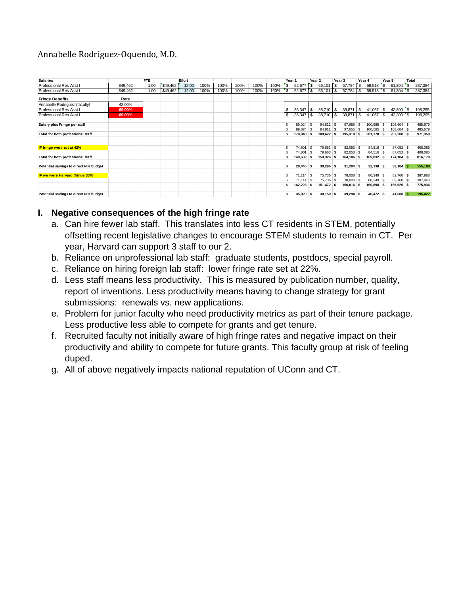# Annabelle Rodriguez-Oquendo, M.D.

| <b>Salaries</b>                        |          | <b>FTE</b> |          | Effort |      |      |      |      |      | Year 1 |             | Year <sub>2</sub> |             |              | Year 3      | Year 4 |             | Year 5 |             | Total        |         |
|----------------------------------------|----------|------------|----------|--------|------|------|------|------|------|--------|-------------|-------------------|-------------|--------------|-------------|--------|-------------|--------|-------------|--------------|---------|
| Professional Res Asst I                | \$49,462 | 1.00       | \$49,462 | 12.00  | 100% | 100% | 100% | 100% | 100% | 's     | 52,677      | \$                | 56,101      | s            | 57,784      | ' S    | 59,518      | \$     | 61,304      | $\mathsf{s}$ | 287,384 |
| Professional Res Asst                  | \$49.462 | 1.00       | \$49,462 | 12.00  | 100% | 100% | 100% | 100% | 100% | `\$    | 52,677      |                   | 56.101      | $\mathsf{s}$ | 57.784      |        | 59,518      | 's     | 61,304      | 3ءَ          | 287,384 |
| <b>Fringe Benefits</b>                 | Rate     |            |          |        |      |      |      |      |      |        |             |                   |             |              |             |        |             |        |             |              |         |
| Annabelle Rodriguez (faculty)          | 42.00%   |            |          |        |      |      |      |      |      |        |             |                   |             |              |             |        |             |        |             |              |         |
| <b>Professional Res Asst I</b>         | 69.00%   |            |          |        |      |      |      |      |      | \$     | 36,347      | \$                | $38,710$ \$ |              | 39,871      | S      | 41,067      | S      | 42,300      | <b>S</b>     | 198,295 |
| Professional Res Asst I                | 69.00%   |            |          |        |      |      |      |      |      | \$     | 36,347      | -S                | 38,710      | $\sqrt{3}$   | 39,871      | \$     | 41,067      | S      | 42,300      | 3ء           | 198,295 |
| Salary plus Fringe per staff           |          |            |          |        |      |      |      |      |      | S      | 89,024 \$   |                   | 94,811 \$   |              | 97,655 \$   |        | 100,585 \$  |        | 103,604 \$  |              | 485,679 |
|                                        |          |            |          |        |      |      |      |      |      | S      | 89.024 \$   |                   | 94,811 \$   |              | 97,655 \$   |        | 100.585 \$  |        | 103,604 \$  |              | 485,679 |
| Total for both professional staff      |          |            |          |        |      |      |      |      |      | S      | 178,048 \$  |                   | 189,622     | S            | 195,310 \$  |        | 201,170 \$  |        | 207,208 \$  |              | 971,358 |
|                                        |          |            |          |        |      |      |      |      |      |        |             |                   |             |              |             |        |             |        |             |              |         |
| IF fringe were set at 42%              |          |            |          |        |      |      |      |      |      | \$     | 74,801 \$   |                   | 79,663 \$   |              | 82,053 \$   |        | 84,516 \$   |        | 87,052 \$   |              | 408,085 |
|                                        |          |            |          |        |      |      |      |      |      | S      | 74.801 \$   |                   | 79,663 \$   |              | 82.053 \$   |        | 84,516 \$   |        | 87,052 \$   |              | 408,085 |
| Total for both professional staff      |          |            |          |        |      |      |      |      |      |        | 149,602 \$  |                   | 159,326 \$  |              | 164,106 \$  |        | 169,032 \$  |        | 174,104 \$  |              | 816,170 |
| Potential savings to direct NIH budget |          |            |          |        |      |      |      |      |      | Ś      | 28,446 \$   |                   | $30,296$ \$ |              | $31,204$ \$ |        | $32,138$ \$ |        | $33,104$ \$ |              | 155,188 |
| IF we were Harvard (fringe 35%)        |          |            |          |        |      |      |      |      |      | S      | $71.114$ S  |                   | 75.736 \$   |              | 78,008 \$   |        | 80.349 \$   |        | 82,760 \$   |              | 387,968 |
|                                        |          |            |          |        |      |      |      |      |      | \$.    | $71,114$ \$ |                   | 75,736 \$   |              | 78,008 \$   |        | 80,349 \$   |        | 82,760 \$   |              | 387,968 |
|                                        |          |            |          |        |      |      |      |      |      | \$     | 142,228 \$  |                   | 151,472 \$  |              | 156,016 \$  |        | 160,698 \$  |        | 165,520 \$  |              | 775,936 |
| Potential savings to direct NIH budget |          |            |          |        |      |      |      |      |      | Ś      | 35.820 \$   |                   | 38,150 \$   |              | $39,294$ \$ |        | 40,472 \$   |        | 41,688 \$   |              | 195,422 |

# **I. Negative consequences of the high fringe rate**

- a. Can hire fewer lab staff. This translates into less CT residents in STEM, potentially offsetting recent legislative changes to encourage STEM students to remain in CT. Per year, Harvard can support 3 staff to our 2.
- b. Reliance on unprofessional lab staff: graduate students, postdocs, special payroll.
- c. Reliance on hiring foreign lab staff: lower fringe rate set at 22%.
- d. Less staff means less productivity. This is measured by publication number, quality, report of inventions. Less productivity means having to change strategy for grant submissions: renewals vs. new applications.
- e. Problem for junior faculty who need productivity metrics as part of their tenure package. Less productive less able to compete for grants and get tenure.
- f. Recruited faculty not initially aware of high fringe rates and negative impact on their productivity and ability to compete for future grants. This faculty group at risk of feeling duped.
- g. All of above negatively impacts national reputation of UConn and CT.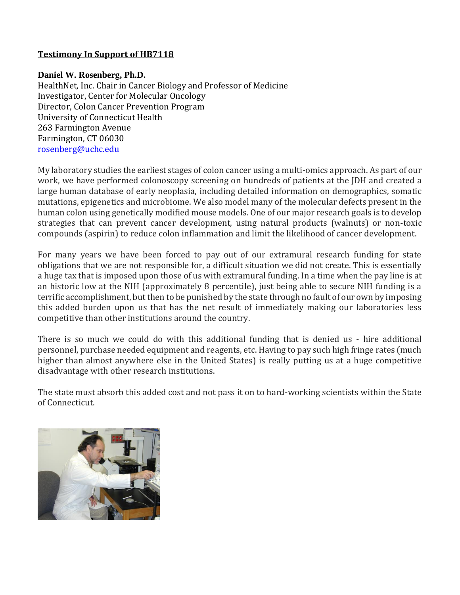#### **Daniel W. Rosenberg, Ph.D.**

HealthNet, Inc. Chair in Cancer Biology and Professor of Medicine Investigator, Center for Molecular Oncology Director, Colon Cancer Prevention Program University of Connecticut Health 263 Farmington Avenue Farmington, CT 06030 [rosenberg@uchc.edu](mailto:rosenberg@uchc.edu)

My laboratory studies the earliest stages of colon cancer using a multi-omics approach. As part of our work, we have performed colonoscopy screening on hundreds of patients at the JDH and created a large human database of early neoplasia, including detailed information on demographics, somatic mutations, epigenetics and microbiome. We also model many of the molecular defects present in the human colon using genetically modified mouse models. One of our major research goals is to develop strategies that can prevent cancer development, using natural products (walnuts) or non-toxic compounds (aspirin) to reduce colon inflammation and limit the likelihood of cancer development.

For many years we have been forced to pay out of our extramural research funding for state obligations that we are not responsible for, a difficult situation we did not create. This is essentially a huge tax that is imposed upon those of us with extramural funding. In a time when the pay line is at an historic low at the NIH (approximately 8 percentile), just being able to secure NIH funding is a terrific accomplishment, but then to be punished by the state through no fault of our own by imposing this added burden upon us that has the net result of immediately making our laboratories less competitive than other institutions around the country.

There is so much we could do with this additional funding that is denied us - hire additional personnel, purchase needed equipment and reagents, etc. Having to pay such high fringe rates (much higher than almost anywhere else in the United States) is really putting us at a huge competitive disadvantage with other research institutions.

The state must absorb this added cost and not pass it on to hard-working scientists within the State of Connecticut.

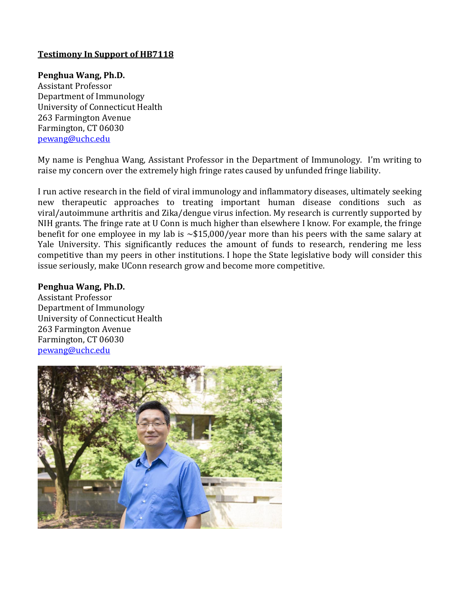#### **Penghua Wang, Ph.D.**

Assistant Professor Department of Immunology University of Connecticut Health 263 Farmington Avenue Farmington, CT 06030 [pewang@uchc.edu](mailto:pewang@uchc.edu)

My name is Penghua Wang, Assistant Professor in the Department of Immunology. I'm writing to raise my concern over the extremely high fringe rates caused by unfunded fringe liability.

I run active research in the field of viral immunology and inflammatory diseases, ultimately seeking new therapeutic approaches to treating important human disease conditions such as viral/autoimmune arthritis and Zika/dengue virus infection. My research is currently supported by NIH grants. The fringe rate at U Conn is much higher than elsewhere I know. For example, the fringe benefit for one employee in my lab is ~\$15,000/year more than his peers with the same salary at Yale University. This significantly reduces the amount of funds to research, rendering me less competitive than my peers in other institutions. I hope the State legislative body will consider this issue seriously, make UConn research grow and become more competitive.

#### **Penghua Wang, Ph.D.**

Assistant Professor Department of Immunology University of Connecticut Health 263 Farmington Avenue Farmington, CT 06030 [pewang@uchc.edu](mailto:pewang@uchc.edu)